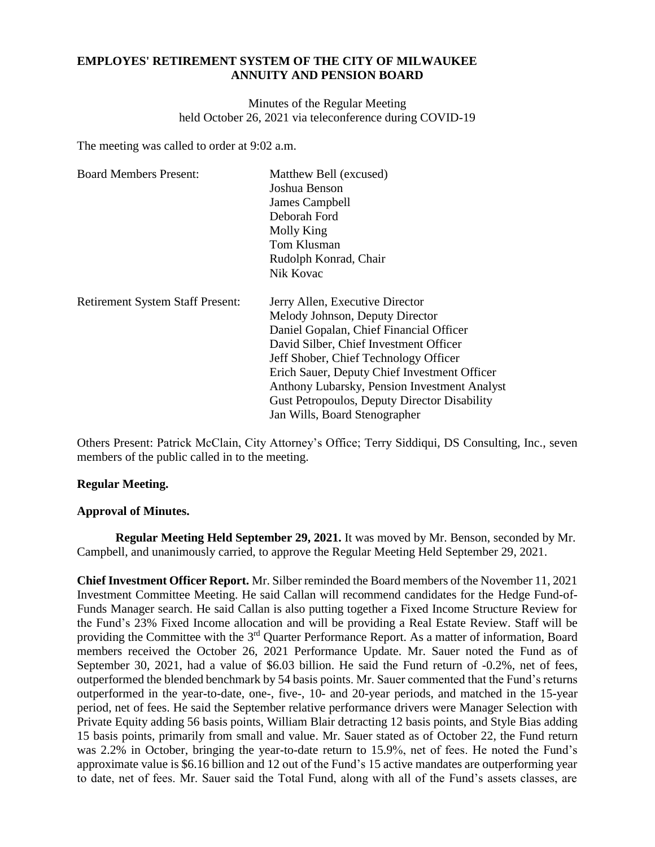# **EMPLOYES' RETIREMENT SYSTEM OF THE CITY OF MILWAUKEE ANNUITY AND PENSION BOARD**

Minutes of the Regular Meeting held October 26, 2021 via teleconference during COVID-19

The meeting was called to order at 9:02 a.m.

| <b>Board Members Present:</b>           | Matthew Bell (excused)                       |
|-----------------------------------------|----------------------------------------------|
|                                         | Joshua Benson                                |
|                                         | James Campbell                               |
|                                         | Deborah Ford                                 |
|                                         | Molly King                                   |
|                                         | Tom Klusman                                  |
|                                         | Rudolph Konrad, Chair                        |
|                                         | Nik Kovac                                    |
| <b>Retirement System Staff Present:</b> | Jerry Allen, Executive Director              |
|                                         | Melody Johnson, Deputy Director              |
|                                         | Daniel Gopalan, Chief Financial Officer      |
|                                         | David Silber, Chief Investment Officer       |
|                                         | Jeff Shober, Chief Technology Officer        |
|                                         | Erich Sauer, Deputy Chief Investment Officer |
|                                         | Anthony Lubarsky, Pension Investment Analyst |
|                                         | Gust Petropoulos, Deputy Director Disability |
|                                         | Jan Wills, Board Stenographer                |

Others Present: Patrick McClain, City Attorney's Office; Terry Siddiqui, DS Consulting, Inc., seven members of the public called in to the meeting.

# **Regular Meeting.**

# **Approval of Minutes.**

**Regular Meeting Held September 29, 2021.** It was moved by Mr. Benson, seconded by Mr. Campbell, and unanimously carried, to approve the Regular Meeting Held September 29, 2021.

**Chief Investment Officer Report.** Mr. Silber reminded the Board members of the November 11, 2021 Investment Committee Meeting. He said Callan will recommend candidates for the Hedge Fund-of-Funds Manager search. He said Callan is also putting together a Fixed Income Structure Review for the Fund's 23% Fixed Income allocation and will be providing a Real Estate Review. Staff will be providing the Committee with the  $3<sup>rd</sup>$  Quarter Performance Report. As a matter of information, Board members received the October 26, 2021 Performance Update. Mr. Sauer noted the Fund as of September 30, 2021, had a value of \$6.03 billion. He said the Fund return of -0.2%, net of fees, outperformed the blended benchmark by 54 basis points. Mr. Sauer commented that the Fund's returns outperformed in the year-to-date, one-, five-, 10- and 20-year periods, and matched in the 15-year period, net of fees. He said the September relative performance drivers were Manager Selection with Private Equity adding 56 basis points, William Blair detracting 12 basis points, and Style Bias adding 15 basis points, primarily from small and value. Mr. Sauer stated as of October 22, the Fund return was 2.2% in October, bringing the year-to-date return to 15.9%, net of fees. He noted the Fund's approximate value is \$6.16 billion and 12 out of the Fund's 15 active mandates are outperforming year to date, net of fees. Mr. Sauer said the Total Fund, along with all of the Fund's assets classes, are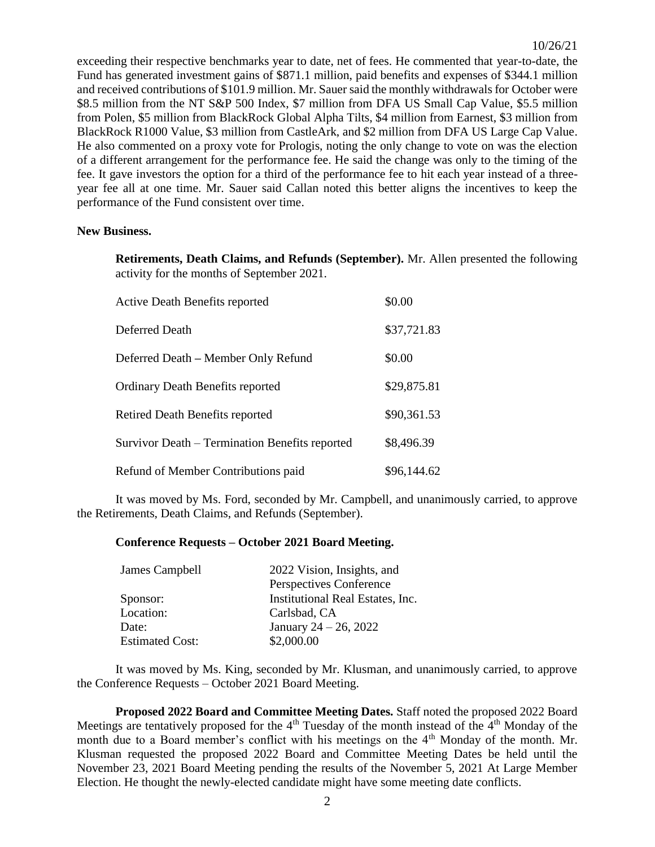exceeding their respective benchmarks year to date, net of fees. He commented that year-to-date, the Fund has generated investment gains of \$871.1 million, paid benefits and expenses of \$344.1 million and received contributions of \$101.9 million. Mr. Sauer said the monthly withdrawals for October were \$8.5 million from the NT S&P 500 Index, \$7 million from DFA US Small Cap Value, \$5.5 million from Polen, \$5 million from BlackRock Global Alpha Tilts, \$4 million from Earnest, \$3 million from BlackRock R1000 Value, \$3 million from CastleArk, and \$2 million from DFA US Large Cap Value. He also commented on a proxy vote for Prologis, noting the only change to vote on was the election of a different arrangement for the performance fee. He said the change was only to the timing of the fee. It gave investors the option for a third of the performance fee to hit each year instead of a threeyear fee all at one time. Mr. Sauer said Callan noted this better aligns the incentives to keep the performance of the Fund consistent over time.

### **New Business.**

**Retirements, Death Claims, and Refunds (September).** Mr. Allen presented the following activity for the months of September 2021.

| <b>Active Death Benefits reported</b>          | \$0.00      |
|------------------------------------------------|-------------|
| Deferred Death                                 | \$37,721.83 |
| Deferred Death – Member Only Refund            | \$0.00      |
| <b>Ordinary Death Benefits reported</b>        | \$29,875.81 |
| Retired Death Benefits reported                | \$90,361.53 |
| Survivor Death – Termination Benefits reported | \$8,496.39  |
| Refund of Member Contributions paid            | \$96,144.62 |

It was moved by Ms. Ford, seconded by Mr. Campbell, and unanimously carried, to approve the Retirements, Death Claims, and Refunds (September).

#### **Conference Requests – October 2021 Board Meeting.**

| James Campbell         | 2022 Vision, Insights, and       |
|------------------------|----------------------------------|
|                        | Perspectives Conference          |
| Sponsor:               | Institutional Real Estates, Inc. |
| Location:              | Carlsbad, CA                     |
| Date:                  | January 24 – 26, 2022            |
| <b>Estimated Cost:</b> | \$2,000.00                       |
|                        |                                  |

It was moved by Ms. King, seconded by Mr. Klusman, and unanimously carried, to approve the Conference Requests – October 2021 Board Meeting.

**Proposed 2022 Board and Committee Meeting Dates.** Staff noted the proposed 2022 Board Meetings are tentatively proposed for the  $4<sup>th</sup>$  Tuesday of the month instead of the  $4<sup>th</sup>$  Monday of the month due to a Board member's conflict with his meetings on the 4<sup>th</sup> Monday of the month. Mr. Klusman requested the proposed 2022 Board and Committee Meeting Dates be held until the November 23, 2021 Board Meeting pending the results of the November 5, 2021 At Large Member Election. He thought the newly-elected candidate might have some meeting date conflicts.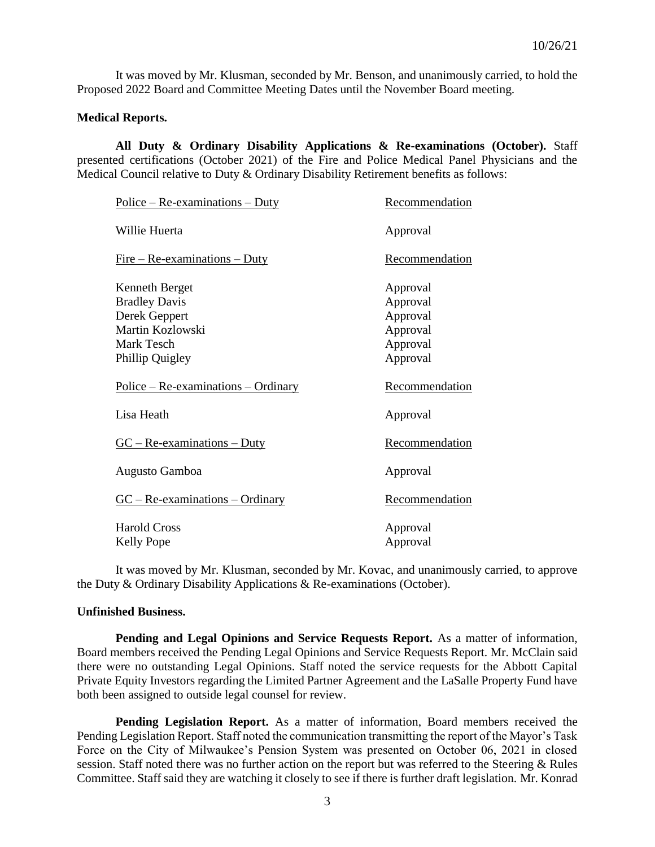It was moved by Mr. Klusman, seconded by Mr. Benson, and unanimously carried, to hold the Proposed 2022 Board and Committee Meeting Dates until the November Board meeting.

## **Medical Reports.**

**All Duty & Ordinary Disability Applications & Re-examinations (October).** Staff presented certifications (October 2021) of the Fire and Police Medical Panel Physicians and the Medical Council relative to Duty & Ordinary Disability Retirement benefits as follows:

| $Police - Re-examinations - Duty$        | Recommendation       |
|------------------------------------------|----------------------|
| Willie Huerta                            | Approval             |
| $Fire - Re-examinations - Duty$          | Recommendation       |
| <b>Kenneth Berget</b>                    | Approval             |
| <b>Bradley Davis</b>                     | Approval             |
| Derek Geppert                            | Approval             |
| Martin Kozlowski                         | Approval             |
| Mark Tesch                               | Approval             |
| Phillip Quigley                          | Approval             |
|                                          |                      |
| $Police - Re-examinations - Ordinary$    | Recommendation       |
| Lisa Heath                               | Approval             |
| $GC - Re-examinations - Duty$            | Recommendation       |
| Augusto Gamboa                           | Approval             |
| $GC - Re-examinations - Ordinary$        | Recommendation       |
|                                          |                      |
| <b>Harold Cross</b><br><b>Kelly Pope</b> | Approval<br>Approval |

It was moved by Mr. Klusman, seconded by Mr. Kovac, and unanimously carried, to approve the Duty & Ordinary Disability Applications & Re-examinations (October).

#### **Unfinished Business.**

**Pending and Legal Opinions and Service Requests Report.** As a matter of information, Board members received the Pending Legal Opinions and Service Requests Report. Mr. McClain said there were no outstanding Legal Opinions. Staff noted the service requests for the Abbott Capital Private Equity Investors regarding the Limited Partner Agreement and the LaSalle Property Fund have both been assigned to outside legal counsel for review.

**Pending Legislation Report.** As a matter of information, Board members received the Pending Legislation Report. Staff noted the communication transmitting the report of the Mayor's Task Force on the City of Milwaukee's Pension System was presented on October 06, 2021 in closed session. Staff noted there was no further action on the report but was referred to the Steering & Rules Committee. Staff said they are watching it closely to see if there is further draft legislation. Mr. Konrad